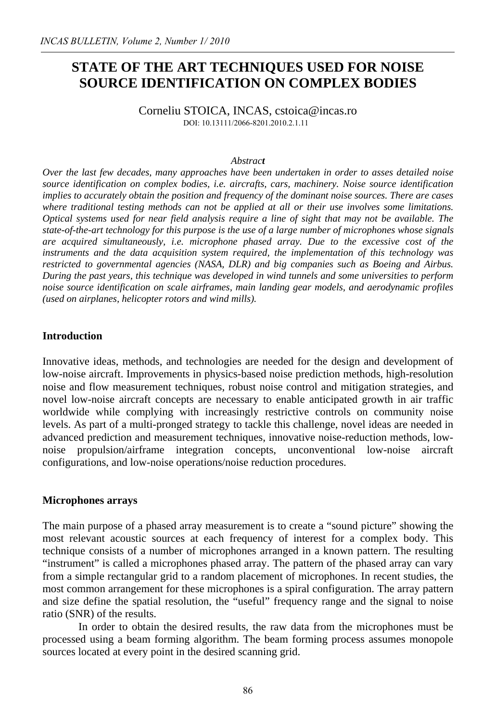# **STATE OF THE ART TECHNIQUES USED FOR NOISE SOURCE IDENTIFICATION ON COMPLEX BODIES**

Corneliu STOICA, INCAS, cstoica@incas.ro DOI: 10.13111/2066-8201.2010.2.1.11

#### *Abstract*

*Over the last few decades, many approaches have been undertaken in order to asses detailed noise source identification on complex bodies, i.e. aircrafts, cars, machinery. Noise source identification implies to accurately obtain the position and frequency of the dominant noise sources. There are cases where traditional testing methods can not be applied at all or their use involves some limitations. Optical systems used for near field analysis require a line of sight that may not be available. The state-of-the-art technology for this purpose is the use of a large number of microphones whose signals are acquired simultaneously, i.e. microphone phased array. Due to the excessive cost of the instruments and the data acquisition system required, the implementation of this technology was restricted to governmental agencies (NASA, DLR) and big companies such as Boeing and Airbus. During the past years, this technique was developed in wind tunnels and some universities to perform noise source identification on scale airframes, main landing gear models, and aerodynamic profiles (used on airplanes, helicopter rotors and wind mills).*

## **Introduction**

Innovative ideas, methods, and technologies are needed for the design and development of low-noise aircraft. Improvements in physics-based noise prediction methods, high-resolution noise and flow measurement techniques, robust noise control and mitigation strategies, and novel low-noise aircraft concepts are necessary to enable anticipated growth in air traffic worldwide while complying with increasingly restrictive controls on community noise levels. As part of a multi-pronged strategy to tackle this challenge, novel ideas are needed in advanced prediction and measurement techniques, innovative noise-reduction methods, lownoise propulsion/airframe integration concepts, unconventional low-noise aircraft configurations, and low-noise operations/noise reduction procedures.

#### **Microphones arrays**

The main purpose of a phased array measurement is to create a "sound picture" showing the most relevant acoustic sources at each frequency of interest for a complex body. This technique consists of a number of microphones arranged in a known pattern. The resulting "instrument" is called a microphones phased array. The pattern of the phased array can vary from a simple rectangular grid to a random placement of microphones. In recent studies, the most common arrangement for these microphones is a spiral configuration. The array pattern and size define the spatial resolution, the "useful" frequency range and the signal to noise ratio (SNR) of the results.

In order to obtain the desired results, the raw data from the microphones must be processed using a beam forming algorithm. The beam forming process assumes monopole sources located at every point in the desired scanning grid.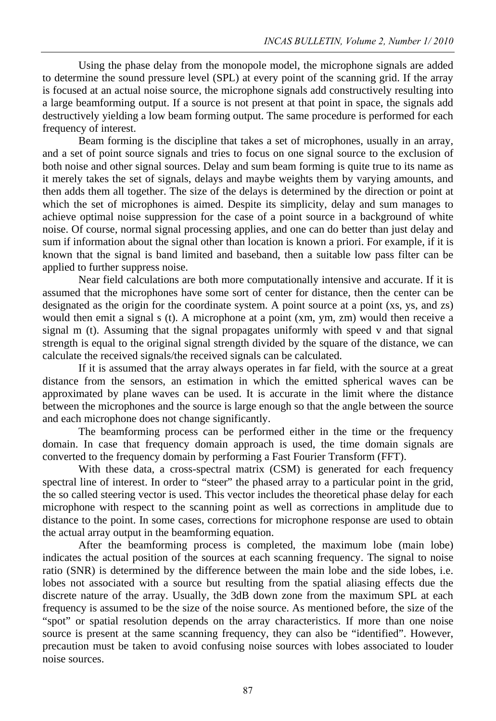Using the phase delay from the monopole model, the microphone signals are added to determine the sound pressure level (SPL) at every point of the scanning grid. If the array is focused at an actual noise source, the microphone signals add constructively resulting into a large beamforming output. If a source is not present at that point in space, the signals add destructively yielding a low beam forming output. The same procedure is performed for each frequency of interest.

Beam forming is the discipline that takes a set of microphones, usually in an array, and a set of point source signals and tries to focus on one signal source to the exclusion of both noise and other signal sources. Delay and sum beam forming is quite true to its name as it merely takes the set of signals, delays and maybe weights them by varying amounts, and then adds them all together. The size of the delays is determined by the direction or point at which the set of microphones is aimed. Despite its simplicity, delay and sum manages to achieve optimal noise suppression for the case of a point source in a background of white noise. Of course, normal signal processing applies, and one can do better than just delay and sum if information about the signal other than location is known a priori. For example, if it is known that the signal is band limited and baseband, then a suitable low pass filter can be applied to further suppress noise.

Near field calculations are both more computationally intensive and accurate. If it is assumed that the microphones have some sort of center for distance, then the center can be designated as the origin for the coordinate system. A point source at a point (xs, ys, and zs) would then emit a signal s (t). A microphone at a point (xm, ym, zm) would then receive a signal m (t). Assuming that the signal propagates uniformly with speed v and that signal strength is equal to the original signal strength divided by the square of the distance, we can calculate the received signals/the received signals can be calculated.

 If it is assumed that the array always operates in far field, with the source at a great distance from the sensors, an estimation in which the emitted spherical waves can be approximated by plane waves can be used. It is accurate in the limit where the distance between the microphones and the source is large enough so that the angle between the source and each microphone does not change significantly.

The beamforming process can be performed either in the time or the frequency domain. In case that frequency domain approach is used, the time domain signals are converted to the frequency domain by performing a Fast Fourier Transform (FFT).

With these data, a cross-spectral matrix (CSM) is generated for each frequency spectral line of interest. In order to "steer" the phased array to a particular point in the grid, the so called steering vector is used. This vector includes the theoretical phase delay for each microphone with respect to the scanning point as well as corrections in amplitude due to distance to the point. In some cases, corrections for microphone response are used to obtain the actual array output in the beamforming equation.

After the beamforming process is completed, the maximum lobe (main lobe) indicates the actual position of the sources at each scanning frequency. The signal to noise ratio (SNR) is determined by the difference between the main lobe and the side lobes, i.e. lobes not associated with a source but resulting from the spatial aliasing effects due the discrete nature of the array. Usually, the 3dB down zone from the maximum SPL at each frequency is assumed to be the size of the noise source. As mentioned before, the size of the "spot" or spatial resolution depends on the array characteristics. If more than one noise source is present at the same scanning frequency, they can also be "identified". However, precaution must be taken to avoid confusing noise sources with lobes associated to louder noise sources.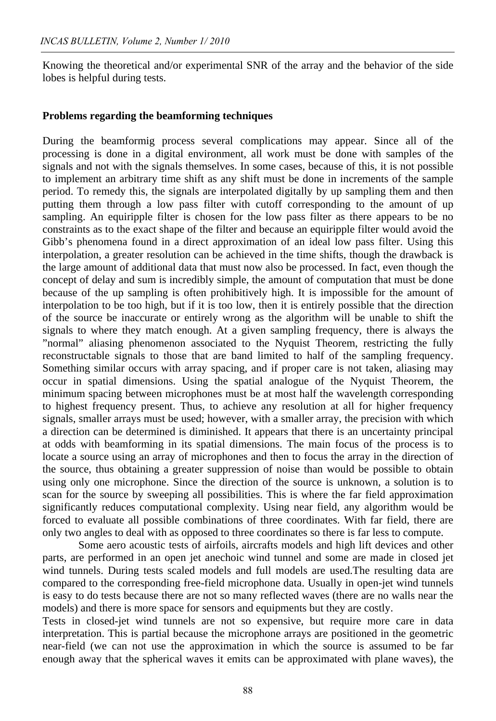Knowing the theoretical and/or experimental SNR of the array and the behavior of the side lobes is helpful during tests.

#### **Problems regarding the beamforming techniques**

During the beamformig process several complications may appear. Since all of the processing is done in a digital environment, all work must be done with samples of the signals and not with the signals themselves. In some cases, because of this, it is not possible to implement an arbitrary time shift as any shift must be done in increments of the sample period. To remedy this, the signals are interpolated digitally by up sampling them and then putting them through a low pass filter with cutoff corresponding to the amount of up sampling. An equiripple filter is chosen for the low pass filter as there appears to be no constraints as to the exact shape of the filter and because an equiripple filter would avoid the Gibb's phenomena found in a direct approximation of an ideal low pass filter. Using this interpolation, a greater resolution can be achieved in the time shifts, though the drawback is the large amount of additional data that must now also be processed. In fact, even though the concept of delay and sum is incredibly simple, the amount of computation that must be done because of the up sampling is often prohibitively high. It is impossible for the amount of interpolation to be too high, but if it is too low, then it is entirely possible that the direction of the source be inaccurate or entirely wrong as the algorithm will be unable to shift the signals to where they match enough. At a given sampling frequency, there is always the "normal" aliasing phenomenon associated to the Nyquist Theorem, restricting the fully reconstructable signals to those that are band limited to half of the sampling frequency. Something similar occurs with array spacing, and if proper care is not taken, aliasing may occur in spatial dimensions. Using the spatial analogue of the Nyquist Theorem, the minimum spacing between microphones must be at most half the wavelength corresponding to highest frequency present. Thus, to achieve any resolution at all for higher frequency signals, smaller arrays must be used; however, with a smaller array, the precision with which a direction can be determined is diminished. It appears that there is an uncertainty principal at odds with beamforming in its spatial dimensions. The main focus of the process is to locate a source using an array of microphones and then to focus the array in the direction of the source, thus obtaining a greater suppression of noise than would be possible to obtain using only one microphone. Since the direction of the source is unknown, a solution is to scan for the source by sweeping all possibilities. This is where the far field approximation significantly reduces computational complexity. Using near field, any algorithm would be forced to evaluate all possible combinations of three coordinates. With far field, there are only two angles to deal with as opposed to three coordinates so there is far less to compute.

Some aero acoustic tests of airfoils, aircrafts models and high lift devices and other parts, are performed in an open jet anechoic wind tunnel and some are made in closed jet wind tunnels. During tests scaled models and full models are used.The resulting data are compared to the corresponding free-field microphone data. Usually in open-jet wind tunnels is easy to do tests because there are not so many reflected waves (there are no walls near the models) and there is more space for sensors and equipments but they are costly.

Tests in closed-jet wind tunnels are not so expensive, but require more care in data interpretation. This is partial because the microphone arrays are positioned in the geometric near-field (we can not use the approximation in which the source is assumed to be far enough away that the spherical waves it emits can be approximated with plane waves), the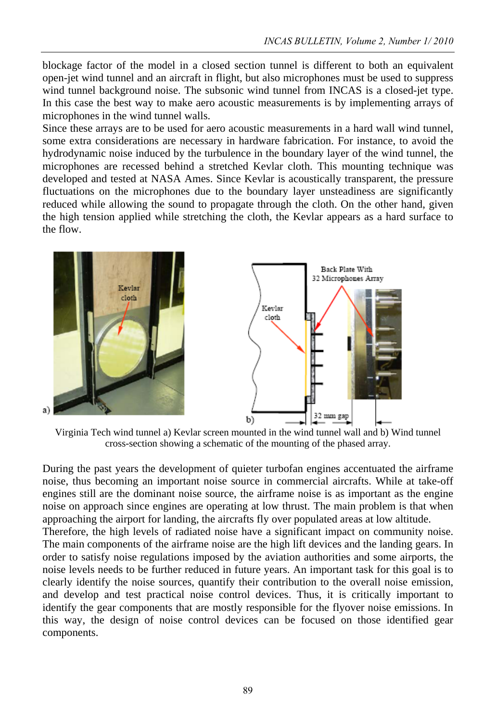blockage factor of the model in a closed section tunnel is different to both an equivalent open-jet wind tunnel and an aircraft in flight, but also microphones must be used to suppress wind tunnel background noise. The subsonic wind tunnel from INCAS is a closed-jet type. In this case the best way to make aero acoustic measurements is by implementing arrays of microphones in the wind tunnel walls.

Since these arrays are to be used for aero acoustic measurements in a hard wall wind tunnel, some extra considerations are necessary in hardware fabrication. For instance, to avoid the hydrodynamic noise induced by the turbulence in the boundary layer of the wind tunnel, the microphones are recessed behind a stretched Kevlar cloth. This mounting technique was developed and tested at NASA Ames. Since Kevlar is acoustically transparent, the pressure fluctuations on the microphones due to the boundary layer unsteadiness are significantly reduced while allowing the sound to propagate through the cloth. On the other hand, given the high tension applied while stretching the cloth, the Kevlar appears as a hard surface to the flow.



Virginia Tech wind tunnel a) Kevlar screen mounted in the wind tunnel wall and b) Wind tunnel cross-section showing a schematic of the mounting of the phased array.

During the past years the development of quieter turbofan engines accentuated the airframe noise, thus becoming an important noise source in commercial aircrafts. While at take-off engines still are the dominant noise source, the airframe noise is as important as the engine noise on approach since engines are operating at low thrust. The main problem is that when approaching the airport for landing, the aircrafts fly over populated areas at low altitude.

Therefore, the high levels of radiated noise have a significant impact on community noise. The main components of the airframe noise are the high lift devices and the landing gears. In order to satisfy noise regulations imposed by the aviation authorities and some airports, the noise levels needs to be further reduced in future years. An important task for this goal is to clearly identify the noise sources, quantify their contribution to the overall noise emission, and develop and test practical noise control devices. Thus, it is critically important to identify the gear components that are mostly responsible for the flyover noise emissions. In this way, the design of noise control devices can be focused on those identified gear components.